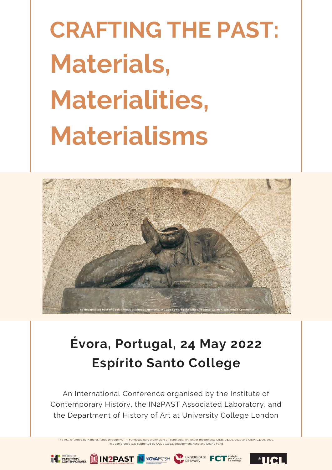## **CRAFTING THE PAST: Materials, Materialities, Materialisms**



## **Évora, Portugal, 24 May 2022 Espírito Santo College**

An International Conference organised by the Institute of Contemporary History, the IN2PAST Associated Laboratory, and the Department of History of Art at University College London

The IHC is funded by National funds through FCT — Fundação para a Ciência e a Tecnologia, I.P., under the projects UIDB/04209/2020 and UIDP/04209/2020.<br>This conference was supported by UCL's Global Engagement Fund and Dean

UNIVERSIDADE

 $^4$ IICL

BEHISTORIA **Q IN2PAST N** NOVAFCSH